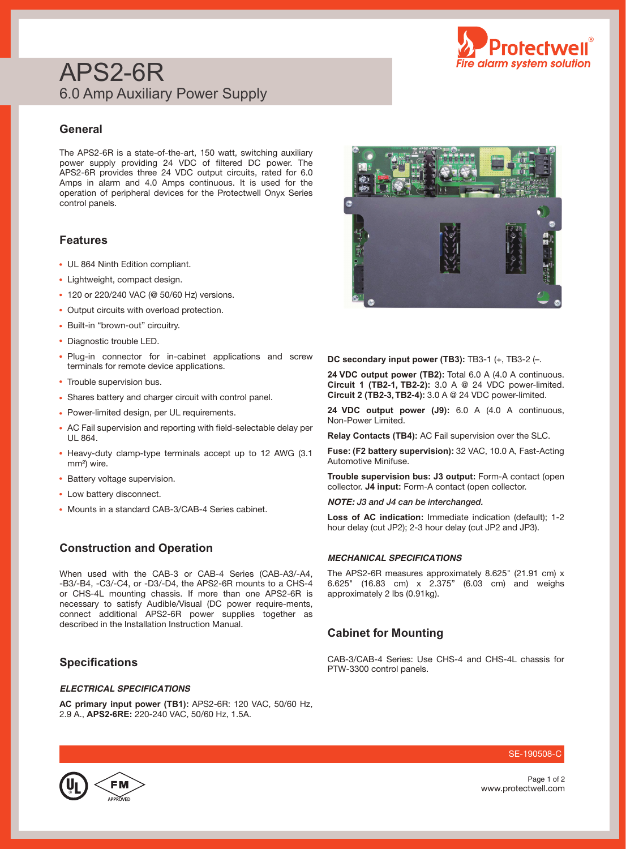

# APS2-6R 6.0 Amp Auxiliary Power Supply

### **General**

The APS2-6R is a state-of-the-art, 150 watt, switching auxiliary power supply providing 24 VDC of filtered DC power. The APS2-6R provides three 24 VDC output circuits, rated for 6.0 Amps in alarm and 4.0 Amps continuous. It is used for the operation of peripheral devices for the Protectwell Onyx Series control panels.

## **Features**

- UL 864 Ninth Edition compliant.
- Lightweight, compact design.
- 120 or 220/240 VAC (@ 50/60 Hz) versions.
- Output circuits with overload protection.
- Built-in "brown-out" circuitry.
- Diagnostic trouble LED.
- Plug-in connector for in-cabinet applications and screw terminals for remote device applications.
- Trouble supervision bus.
- Shares battery and charger circuit with control panel.
- Power-limited design, per UL requirements.
- AC Fail supervision and reporting with field-selectable delay per UL 864.
- Heavy-duty clamp-type terminals accept up to 12 AWG (3.1 mm²) wire.
- Battery voltage supervision.
- Low battery disconnect.
- Mounts in a standard CAB-3/CAB-4 Series cabinet.

## **Construction and Operation**

When used with the CAB-3 or CAB-4 Series (CAB-A3/-A4, -B3/-B4, -C3/-C4, or -D3/-D4, the APS2-6R mounts to a CHS-4 or CHS-4L mounting chassis. If more than one APS2-6R is necessary to satisfy Audible/Visual (DC power require-ments, connect additional APS2-6R power supplies together as described in the Installation Instruction Manual.

## **Specifications**

#### *ELECTRICAL SPECIFICATIONS*

**AC primary input power (TB1):** APS2-6R: 120 VAC, 50/60 Hz, 2.9 A., **APS2-6RE:** 220-240 VAC, 50/60 Hz, 1.5A.



**DC secondary input power (TB3):** TB3-1 (+, TB3-2 (–.

**24 VDC output power (TB2):** Total 6.0 A (4.0 A continuous. **Circuit 1 (TB2-1, TB2-2):** 3.0 A @ 24 VDC power-limited. **Circuit 2 (TB2-3, TB2-4):** 3.0 A @ 24 VDC power-limited.

**24 VDC output power (J9):** 6.0 A (4.0 A continuous, Non-Power Limited.

**Relay Contacts (TB4):** AC Fail supervision over the SLC.

**Fuse: (F2 battery supervision):** 32 VAC, 10.0 A, Fast-Acting Automotive Minifuse.

**Trouble supervision bus: J3 output:** Form-A contact (open collector. **J4 input:** Form-A contact (open collector.

*NOTE:* J3 and J4 can be interchanged.

**Loss of AC indication:** Immediate indication (default); 1-2 hour delay (cut JP2); 2-3 hour delay (cut JP2 and JP3).

#### *MECHANICAL SPECIFICATIONS*

The APS2-6R measures approximately 8.625" (21.91 cm) x 6.625" (16.83 cm) x 2.375" (6.03 cm) and weighs approximately 2 lbs (0.91kg).

#### **Cabinet for Mounting**

CAB-3/CAB-4 Series: Use CHS-4 and CHS-4L chassis for PTW-3300 control panels.



SE-190508-C

www.protectwell.com Page 1 of 2